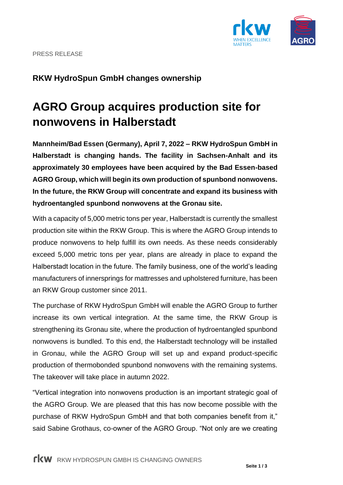PRESS RELEASE

## **RKW HydroSpun GmbH changes ownership**

# **AGRO Group acquires production site for nonwovens in Halberstadt**

**Mannheim/Bad Essen (Germany), April 7, 2022 – RKW HydroSpun GmbH in Halberstadt is changing hands. The facility in Sachsen-Anhalt and its approximately 30 employees have been acquired by the Bad Essen-based AGRO Group, which will begin its own production of spunbond nonwovens. In the future, the RKW Group will concentrate and expand its business with hydroentangled spunbond nonwovens at the Gronau site.**

With a capacity of 5,000 metric tons per year, Halberstadt is currently the smallest production site within the RKW Group. This is where the AGRO Group intends to produce nonwovens to help fulfill its own needs. As these needs considerably exceed 5,000 metric tons per year, plans are already in place to expand the Halberstadt location in the future. The family business, one of the world's leading manufacturers of innersprings for mattresses and upholstered furniture, has been an RKW Group customer since 2011.

The purchase of RKW HydroSpun GmbH will enable the AGRO Group to further increase its own vertical integration. At the same time, the RKW Group is strengthening its Gronau site, where the production of hydroentangled spunbond nonwovens is bundled. To this end, the Halberstadt technology will be installed in Gronau, while the AGRO Group will set up and expand product-specific production of thermobonded spunbond nonwovens with the remaining systems. The takeover will take place in autumn 2022.

"Vertical integration into nonwovens production is an important strategic goal of the AGRO Group. We are pleased that this has now become possible with the purchase of RKW HydroSpun GmbH and that both companies benefit from it," said Sabine Grothaus, co-owner of the AGRO Group. "Not only are we creating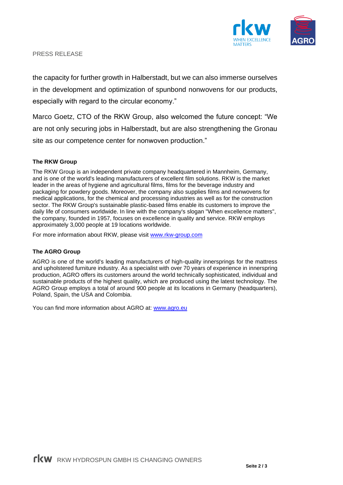

PRESS RELEASE

the capacity for further growth in Halberstadt, but we can also immerse ourselves in the development and optimization of spunbond nonwovens for our products, especially with regard to the circular economy."

Marco Goetz, CTO of the RKW Group, also welcomed the future concept: "We are not only securing jobs in Halberstadt, but are also strengthening the Gronau site as our competence center for nonwoven production."

#### **The RKW Group**

The RKW Group is an independent private company headquartered in Mannheim, Germany, and is one of the world's leading manufacturers of excellent film solutions. RKW is the market leader in the areas of hygiene and agricultural films, films for the beverage industry and packaging for powdery goods. Moreover, the company also supplies films and nonwovens for medical applications, for the chemical and processing industries as well as for the construction sector. The RKW Group's sustainable plastic-based films enable its customers to improve the daily life of consumers worldwide. In line with the company's slogan "When excellence matters", the company, founded in 1957, focuses on excellence in quality and service. RKW employs approximately 3,000 people at 19 locations worldwide.

For more information about RKW, please visit [www.rkw-group.com](http://www.rkw-group.com/)

#### **The AGRO Group**

AGRO is one of the world's leading manufacturers of high-quality innersprings for the mattress and upholstered furniture industry. As a specialist with over 70 years of experience in innerspring production, AGRO offers its customers around the world technically sophisticated, individual and sustainable products of the highest quality, which are produced using the latest technology. The AGRO Group employs a total of around 900 people at its locations in Germany (headquarters), Poland, Spain, the USA and Colombia.

You can find more information about AGRO at: [www.agro.eu](http://www.agro.eu/)